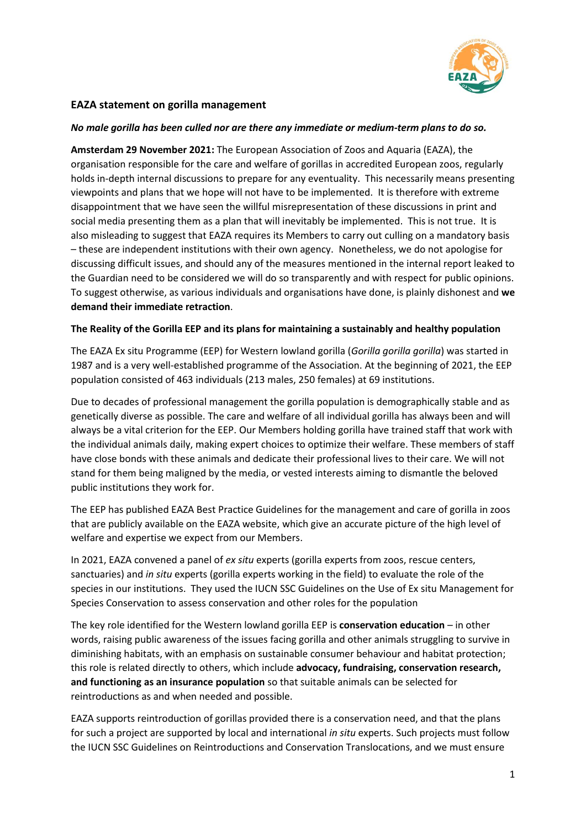

## **EAZA statement on gorilla management**

## *No male gorilla has been culled nor are there any immediate or medium-term plans to do so.*

**Amsterdam 29 November 2021:** The European Association of Zoos and Aquaria (EAZA), the organisation responsible for the care and welfare of gorillas in accredited European zoos, regularly holds in-depth internal discussions to prepare for any eventuality. This necessarily means presenting viewpoints and plans that we hope will not have to be implemented. It is therefore with extreme disappointment that we have seen the willful misrepresentation of these discussions in print and social media presenting them as a plan that will inevitably be implemented. This is not true. It is also misleading to suggest that EAZA requires its Members to carry out culling on a mandatory basis – these are independent institutions with their own agency. Nonetheless, we do not apologise for discussing difficult issues, and should any of the measures mentioned in the internal report leaked to the Guardian need to be considered we will do so transparently and with respect for public opinions. To suggest otherwise, as various individuals and organisations have done, is plainly dishonest and **we demand their immediate retraction**.

## **The Reality of the Gorilla EEP and its plans for maintaining a sustainably and healthy population**

The EAZA Ex situ Programme (EEP) for Western lowland gorilla (*Gorilla gorilla gorilla*) was started in 1987 and is a very well-established programme of the Association. At the beginning of 2021, the EEP population consisted of 463 individuals (213 males, 250 females) at 69 institutions.

Due to decades of professional management the gorilla population is demographically stable and as genetically diverse as possible. The care and welfare of all individual gorilla has always been and will always be a vital criterion for the EEP. Our Members holding gorilla have trained staff that work with the individual animals daily, making expert choices to optimize their welfare. These members of staff have close bonds with these animals and dedicate their professional lives to their care. We will not stand for them being maligned by the media, or vested interests aiming to dismantle the beloved public institutions they work for.

The EEP has published EAZA Best Practice Guidelines for the management and care of gorilla in zoos that are publicly available on the EAZA website, which give an accurate picture of the high level of welfare and expertise we expect from our Members.

In 2021, EAZA convened a panel of *ex situ* experts (gorilla experts from zoos, rescue centers, sanctuaries) and *in situ* experts (gorilla experts working in the field) to evaluate the role of the species in our institutions. They used the IUCN SSC Guidelines on the Use of Ex situ Management for Species Conservation to assess conservation and other roles for the population

The key role identified for the Western lowland gorilla EEP is **conservation education** – in other words, raising public awareness of the issues facing gorilla and other animals struggling to survive in diminishing habitats, with an emphasis on sustainable consumer behaviour and habitat protection; this role is related directly to others, which include **advocacy, fundraising, conservation research, and functioning as an insurance population** so that suitable animals can be selected for reintroductions as and when needed and possible.

EAZA supports reintroduction of gorillas provided there is a conservation need, and that the plans for such a project are supported by local and international *in situ* experts. Such projects must follow the IUCN SSC Guidelines on Reintroductions and Conservation Translocations, and we must ensure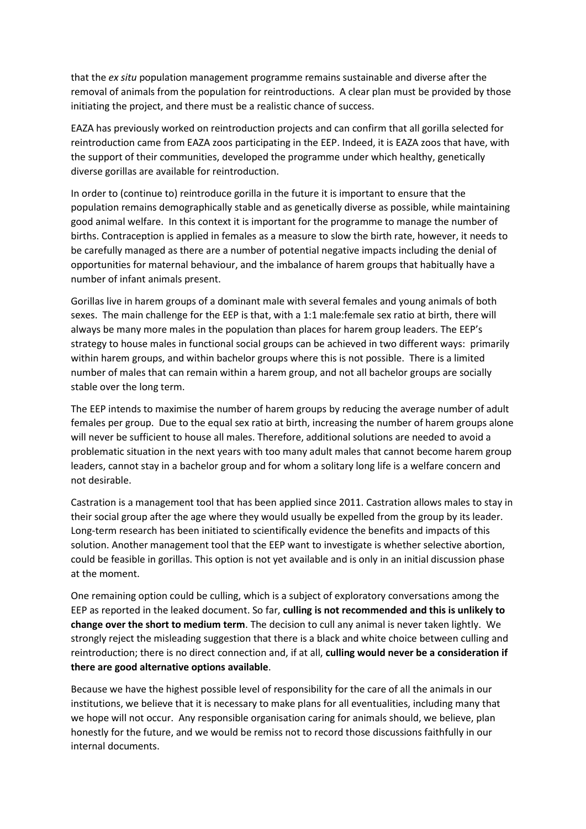that the *ex situ* population management programme remains sustainable and diverse after the removal of animals from the population for reintroductions. A clear plan must be provided by those initiating the project, and there must be a realistic chance of success.

EAZA has previously worked on reintroduction projects and can confirm that all gorilla selected for reintroduction came from EAZA zoos participating in the EEP. Indeed, it is EAZA zoos that have, with the support of their communities, developed the programme under which healthy, genetically diverse gorillas are available for reintroduction.

In order to (continue to) reintroduce gorilla in the future it is important to ensure that the population remains demographically stable and as genetically diverse as possible, while maintaining good animal welfare. In this context it is important for the programme to manage the number of births. Contraception is applied in females as a measure to slow the birth rate, however, it needs to be carefully managed as there are a number of potential negative impacts including the denial of opportunities for maternal behaviour, and the imbalance of harem groups that habitually have a number of infant animals present.

Gorillas live in harem groups of a dominant male with several females and young animals of both sexes. The main challenge for the EEP is that, with a 1:1 male:female sex ratio at birth, there will always be many more males in the population than places for harem group leaders. The EEP's strategy to house males in functional social groups can be achieved in two different ways: primarily within harem groups, and within bachelor groups where this is not possible. There is a limited number of males that can remain within a harem group, and not all bachelor groups are socially stable over the long term.

The EEP intends to maximise the number of harem groups by reducing the average number of adult females per group. Due to the equal sex ratio at birth, increasing the number of harem groups alone will never be sufficient to house all males. Therefore, additional solutions are needed to avoid a problematic situation in the next years with too many adult males that cannot become harem group leaders, cannot stay in a bachelor group and for whom a solitary long life is a welfare concern and not desirable.

Castration is a management tool that has been applied since 2011. Castration allows males to stay in their social group after the age where they would usually be expelled from the group by its leader. Long-term research has been initiated to scientifically evidence the benefits and impacts of this solution. Another management tool that the EEP want to investigate is whether selective abortion, could be feasible in gorillas. This option is not yet available and is only in an initial discussion phase at the moment.

One remaining option could be culling, which is a subject of exploratory conversations among the EEP as reported in the leaked document. So far, **culling is not recommended and this is unlikely to change over the short to medium term**. The decision to cull any animal is never taken lightly. We strongly reject the misleading suggestion that there is a black and white choice between culling and reintroduction; there is no direct connection and, if at all, **culling would never be a consideration if there are good alternative options available**.

Because we have the highest possible level of responsibility for the care of all the animals in our institutions, we believe that it is necessary to make plans for all eventualities, including many that we hope will not occur. Any responsible organisation caring for animals should, we believe, plan honestly for the future, and we would be remiss not to record those discussions faithfully in our internal documents.